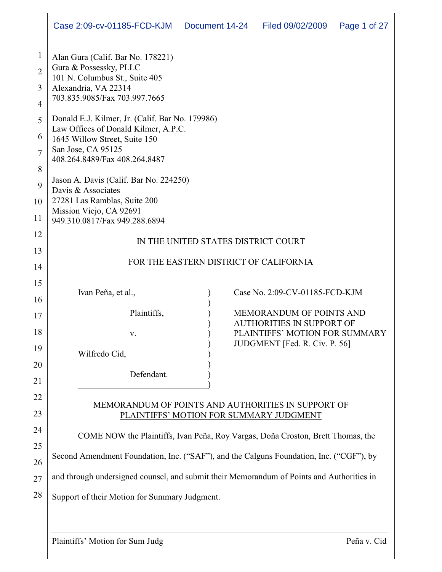|                                                                | Case 2:09-cv-01185-FCD-KJM                                                                                                                                                                                                                                                                                 | Document 14-24                                                                                                                                                                                                                                                                                                                                                                                                                                          | Filed 09/02/2009 | Page 1 of 27 |  |
|----------------------------------------------------------------|------------------------------------------------------------------------------------------------------------------------------------------------------------------------------------------------------------------------------------------------------------------------------------------------------------|---------------------------------------------------------------------------------------------------------------------------------------------------------------------------------------------------------------------------------------------------------------------------------------------------------------------------------------------------------------------------------------------------------------------------------------------------------|------------------|--------------|--|
| $\mathbf{1}$<br>$\overline{2}$<br>3<br>$\overline{4}$          | Alan Gura (Calif. Bar No. 178221)<br>Gura & Possessky, PLLC<br>101 N. Columbus St., Suite 405<br>Alexandria, VA 22314<br>703.835.9085/Fax 703.997.7665                                                                                                                                                     |                                                                                                                                                                                                                                                                                                                                                                                                                                                         |                  |              |  |
| 5<br>6<br>$\overline{7}$<br>8<br>9<br>10<br>11                 | Donald E.J. Kilmer, Jr. (Calif. Bar No. 179986)<br>Law Offices of Donald Kilmer, A.P.C.<br>1645 Willow Street, Suite 150<br>San Jose, CA 95125<br>408.264.8489/Fax 408.264.8487<br>Jason A. Davis (Calif. Bar No. 224250)<br>Davis & Associates<br>27281 Las Ramblas, Suite 200<br>Mission Viejo, CA 92691 |                                                                                                                                                                                                                                                                                                                                                                                                                                                         |                  |              |  |
| 12<br>13<br>14                                                 | 949.310.0817/Fax 949.288.6894<br>IN THE UNITED STATES DISTRICT COURT<br>FOR THE EASTERN DISTRICT OF CALIFORNIA                                                                                                                                                                                             |                                                                                                                                                                                                                                                                                                                                                                                                                                                         |                  |              |  |
| 15<br>16<br>17<br>18<br>19<br>20<br>21<br>22<br>23<br>24<br>25 | Ivan Peña, et al.,<br>Plaintiffs,<br>V.<br>Wilfredo Cid,<br>Defendant.                                                                                                                                                                                                                                     | Case No. 2:09-CV-01185-FCD-KJM<br><b>MEMORANDUM OF POINTS AND</b><br><b>AUTHORITIES IN SUPPORT OF</b><br>PLAINTIFFS' MOTION FOR SUMMARY<br>JUDGMENT [Fed. R. Civ. P. 56]<br>MEMORANDUM OF POINTS AND AUTHORITIES IN SUPPORT OF<br>PLAINTIFFS' MOTION FOR SUMMARY JUDGMENT<br>COME NOW the Plaintiffs, Ivan Peña, Roy Vargas, Doña Croston, Brett Thomas, the<br>Second Amendment Foundation, Inc. ("SAF"), and the Calguns Foundation, Inc. ("CGF"), by |                  |              |  |
| 26<br>27<br>28                                                 | and through undersigned counsel, and submit their Memorandum of Points and Authorities in<br>Support of their Motion for Summary Judgment.                                                                                                                                                                 |                                                                                                                                                                                                                                                                                                                                                                                                                                                         |                  |              |  |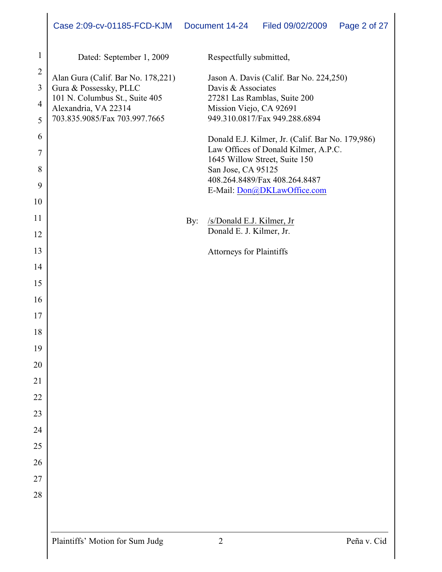|                                                         | Case 2:09-cv-01185-FCD-KJM                                                                                                                                                          |     | Document 14-24                                                           | Filed 09/02/2009                                                                                                                                                                                     | Page 2 of 27 |
|---------------------------------------------------------|-------------------------------------------------------------------------------------------------------------------------------------------------------------------------------------|-----|--------------------------------------------------------------------------|------------------------------------------------------------------------------------------------------------------------------------------------------------------------------------------------------|--------------|
| $\mathbf{1}$<br>$\overline{2}$<br>3<br>4<br>5<br>6<br>7 | Dated: September 1, 2009<br>Alan Gura (Calif. Bar No. 178,221)<br>Gura & Possessky, PLLC<br>101 N. Columbus St., Suite 405<br>Alexandria, VA 22314<br>703.835.9085/Fax 703.997.7665 |     | Respectfully submitted,<br>Davis & Associates<br>Mission Viejo, CA 92691 | Jason A. Davis (Calif. Bar No. 224,250)<br>27281 Las Ramblas, Suite 200<br>949.310.0817/Fax 949.288.6894<br>Donald E.J. Kilmer, Jr. (Calif. Bar No. 179,986)<br>Law Offices of Donald Kilmer, A.P.C. |              |
|                                                         |                                                                                                                                                                                     |     |                                                                          | 1645 Willow Street, Suite 150                                                                                                                                                                        |              |
| 8                                                       |                                                                                                                                                                                     |     | San Jose, CA 95125                                                       | 408.264.8489/Fax 408.264.8487                                                                                                                                                                        |              |
| 9                                                       |                                                                                                                                                                                     |     |                                                                          | E-Mail: Don@DKLawOffice.com                                                                                                                                                                          |              |
| 10                                                      |                                                                                                                                                                                     |     |                                                                          |                                                                                                                                                                                                      |              |
| 11                                                      |                                                                                                                                                                                     | By: | /s/Donald E.J. Kilmer, Jr                                                |                                                                                                                                                                                                      |              |
| 12                                                      |                                                                                                                                                                                     |     | Donald E. J. Kilmer, Jr.                                                 |                                                                                                                                                                                                      |              |
| 13                                                      |                                                                                                                                                                                     |     | <b>Attorneys for Plaintiffs</b>                                          |                                                                                                                                                                                                      |              |
| 14                                                      |                                                                                                                                                                                     |     |                                                                          |                                                                                                                                                                                                      |              |
| 15                                                      |                                                                                                                                                                                     |     |                                                                          |                                                                                                                                                                                                      |              |
| 16                                                      |                                                                                                                                                                                     |     |                                                                          |                                                                                                                                                                                                      |              |
| 17                                                      |                                                                                                                                                                                     |     |                                                                          |                                                                                                                                                                                                      |              |
| $18\,$                                                  |                                                                                                                                                                                     |     |                                                                          |                                                                                                                                                                                                      |              |
| 19                                                      |                                                                                                                                                                                     |     |                                                                          |                                                                                                                                                                                                      |              |
| 20                                                      |                                                                                                                                                                                     |     |                                                                          |                                                                                                                                                                                                      |              |
| 21                                                      |                                                                                                                                                                                     |     |                                                                          |                                                                                                                                                                                                      |              |
| 22                                                      |                                                                                                                                                                                     |     |                                                                          |                                                                                                                                                                                                      |              |
| 23                                                      |                                                                                                                                                                                     |     |                                                                          |                                                                                                                                                                                                      |              |
| 24                                                      |                                                                                                                                                                                     |     |                                                                          |                                                                                                                                                                                                      |              |
| 25                                                      |                                                                                                                                                                                     |     |                                                                          |                                                                                                                                                                                                      |              |
| 26                                                      |                                                                                                                                                                                     |     |                                                                          |                                                                                                                                                                                                      |              |
| 27                                                      |                                                                                                                                                                                     |     |                                                                          |                                                                                                                                                                                                      |              |
| 28                                                      |                                                                                                                                                                                     |     |                                                                          |                                                                                                                                                                                                      |              |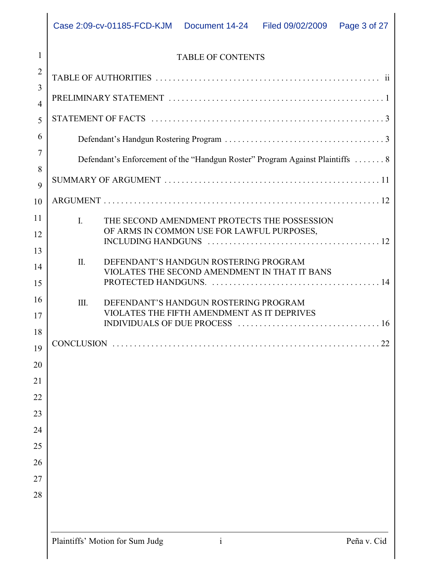# 1 2 3 4 5 6 7 8 9 10 11 12 13 14 15 16 17 18 19 20 21 22 23 24 25 26 27 28 TABLE OF AUTHORITIES .................................................... ii PRELIMINARY STATEMENT .................................................. 1 STATEMENT OF FACTS ...................................................... 3 SUMMARY OF ARGUMENT .................................................. 11 ARGUMENT ................................................................ 12 CONCLUSION .............................................................. 22

Defendant's Handgun Rostering Program ..................................... 3

Defendant's Enforcement of the "Handgun Roster" Program Against Plaintiffs . . . . . . . 8

INCLUDING HANDGUNS ........................................ 12

PROTECTED HANDGUNS. ....................................... 14

INDIVIDUALS OF DUE PROCESS ................................. 16

I. THE SECOND AMENDMENT PROTECTS THE POSSESSION OF ARMS IN COMMON USE FOR LAWFUL PURPOSES,

VIOLATES THE SECOND AMENDMENT IN THAT IT BANS

VIOLATES THE FIFTH AMENDMENT AS IT DEPRIVES

II. DEFENDANT'S HANDGUN ROSTERING PROGRAM

III. DEFENDANT'S HANDGUN ROSTERING PROGRAM

|  |  | $Pen$ a v ( |  |
|--|--|-------------|--|
|  |  |             |  |
|  |  |             |  |
|  |  |             |  |
|  |  |             |  |
|  |  |             |  |
|  |  |             |  |
|  |  |             |  |
|  |  |             |  |
|  |  |             |  |
|  |  |             |  |
|  |  |             |  |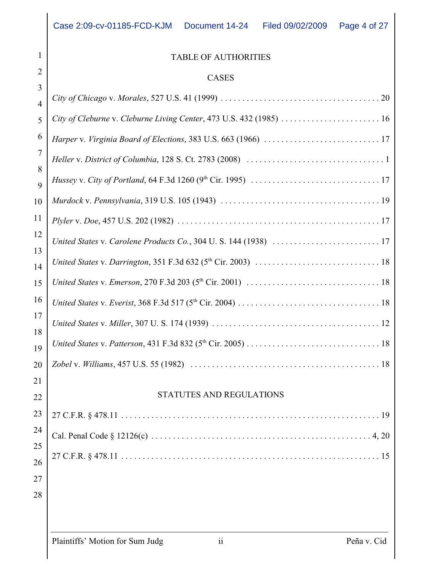# 1 2 3 10 11 12 13 14 15 16 17 18 19  $\frac{1}{2}$  $\frac{1}{2}$  $\frac{1}{2}$ 23

# TABLE OF AUTHORITIES

### CASES

| $\overline{4}$ |                                                                     |  |  |  |
|----------------|---------------------------------------------------------------------|--|--|--|
| 5              | City of Cleburne v. Cleburne Living Center, 473 U.S. 432 (1985)  16 |  |  |  |
| 6              |                                                                     |  |  |  |
| 7              |                                                                     |  |  |  |
| 8              |                                                                     |  |  |  |
| 9<br>10        |                                                                     |  |  |  |
|                |                                                                     |  |  |  |
| 11             |                                                                     |  |  |  |
| 12<br>13       |                                                                     |  |  |  |
| 14             |                                                                     |  |  |  |
| 15             |                                                                     |  |  |  |
| 16             |                                                                     |  |  |  |
| 17             |                                                                     |  |  |  |
| 18<br>19       |                                                                     |  |  |  |
| 20             |                                                                     |  |  |  |
| 21             |                                                                     |  |  |  |
| 22             | STATUTES AND REGULATIONS                                            |  |  |  |
| 23             | 19                                                                  |  |  |  |
| 24             |                                                                     |  |  |  |
| 25             |                                                                     |  |  |  |
| 26             |                                                                     |  |  |  |
| 27             |                                                                     |  |  |  |
| 28             |                                                                     |  |  |  |
|                |                                                                     |  |  |  |
|                |                                                                     |  |  |  |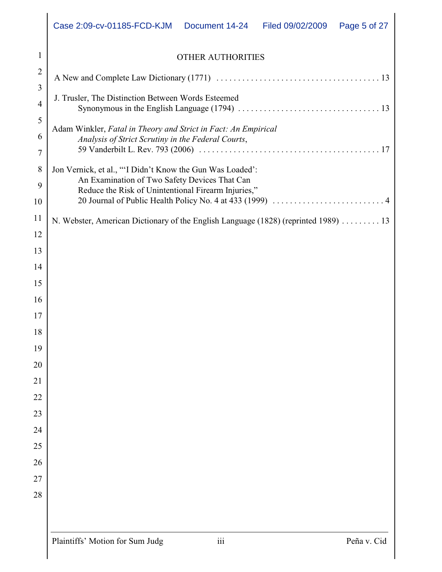|                | Case 2:09-cv-01185-FCD-KJM<br>Document 14-24<br>Filed 09/02/2009<br>Page 5 of 27                                     |  |  |  |  |
|----------------|----------------------------------------------------------------------------------------------------------------------|--|--|--|--|
| 1              | <b>OTHER AUTHORITIES</b>                                                                                             |  |  |  |  |
| $\overline{2}$ |                                                                                                                      |  |  |  |  |
| 3<br>4         | J. Trusler, The Distinction Between Words Esteemed                                                                   |  |  |  |  |
| 5              | Adam Winkler, Fatal in Theory and Strict in Fact: An Empirical<br>Analysis of Strict Scrutiny in the Federal Courts, |  |  |  |  |
| 6              |                                                                                                                      |  |  |  |  |
| 7              |                                                                                                                      |  |  |  |  |
| 8              | Jon Vernick, et al., "'I Didn't Know the Gun Was Loaded':                                                            |  |  |  |  |
| 9              | An Examination of Two Safety Devices That Can<br>Reduce the Risk of Unintentional Firearm Injuries,"                 |  |  |  |  |
| 10             |                                                                                                                      |  |  |  |  |
| 11             | N. Webster, American Dictionary of the English Language (1828) (reprinted 1989) 13                                   |  |  |  |  |
| 12             |                                                                                                                      |  |  |  |  |
| 13             |                                                                                                                      |  |  |  |  |
| 14             |                                                                                                                      |  |  |  |  |
| 15             |                                                                                                                      |  |  |  |  |
| 16             |                                                                                                                      |  |  |  |  |
| 17             |                                                                                                                      |  |  |  |  |
| 18             |                                                                                                                      |  |  |  |  |
| 19             |                                                                                                                      |  |  |  |  |
| 20<br>21       |                                                                                                                      |  |  |  |  |
| 22             |                                                                                                                      |  |  |  |  |
| 23             |                                                                                                                      |  |  |  |  |
| 24             |                                                                                                                      |  |  |  |  |
| 25             |                                                                                                                      |  |  |  |  |
| 26             |                                                                                                                      |  |  |  |  |
| 27             |                                                                                                                      |  |  |  |  |
| 28             |                                                                                                                      |  |  |  |  |
|                |                                                                                                                      |  |  |  |  |
|                |                                                                                                                      |  |  |  |  |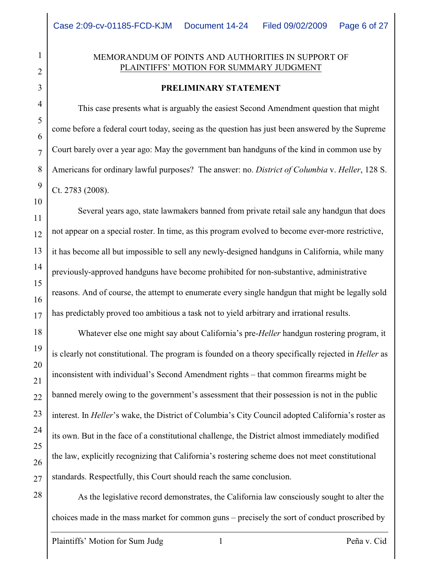#### MEMORANDUM OF POINTS AND AUTHORITIES IN SUPPORT OF PLAINTIFFS' MOTION FOR SUMMARY JUDGMENT

#### **PRELIMINARY STATEMENT**

This case presents what is arguably the easiest Second Amendment question that might come before a federal court today, seeing as the question has just been answered by the Supreme Court barely over a year ago: May the government ban handguns of the kind in common use by Americans for ordinary lawful purposes? The answer: no. *District of Columbia* v. *Heller*, 128 S. Ct. 2783 (2008).

Several years ago, state lawmakers banned from private retail sale any handgun that does not appear on a special roster. In time, as this program evolved to become ever-more restrictive, it has become all but impossible to sell any newly-designed handguns in California, while many previously-approved handguns have become prohibited for non-substantive, administrative reasons. And of course, the attempt to enumerate every single handgun that might be legally sold has predictably proved too ambitious a task not to yield arbitrary and irrational results.

Whatever else one might say about California's pre-*Heller* handgun rostering program, it is clearly not constitutional. The program is founded on a theory specifically rejected in *Heller* as inconsistent with individual's Second Amendment rights – that common firearms might be banned merely owing to the government's assessment that their possession is not in the public interest. In *Heller*'s wake, the District of Columbia's City Council adopted California's roster as its own. But in the face of a constitutional challenge, the District almost immediately modified the law, explicitly recognizing that California's rostering scheme does not meet constitutional standards. Respectfully, this Court should reach the same conclusion.

As the legislative record demonstrates, the California law consciously sought to alter the choices made in the mass market for common guns – precisely the sort of conduct proscribed by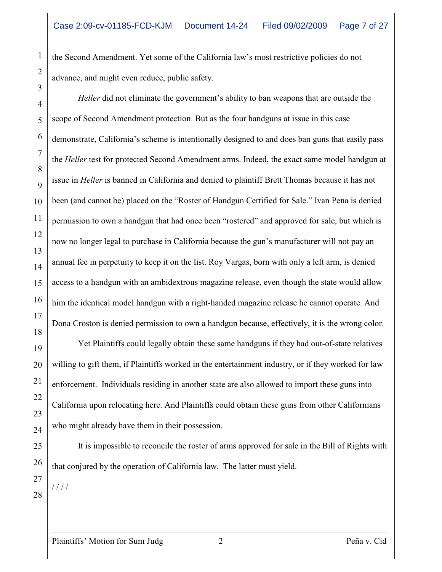the Second Amendment. Yet some of the California law's most restrictive policies do not advance, and might even reduce, public safety.

*Heller* did not eliminate the government's ability to ban weapons that are outside the scope of Second Amendment protection. But as the four handguns at issue in this case demonstrate, California's scheme is intentionally designed to and does ban guns that easily pass the *Heller* test for protected Second Amendment arms. Indeed, the exact same model handgun at issue in *Heller* is banned in California and denied to plaintiff Brett Thomas because it has not been (and cannot be) placed on the "Roster of Handgun Certified for Sale." Ivan Pena is denied permission to own a handgun that had once been "rostered" and approved for sale, but which is now no longer legal to purchase in California because the gun's manufacturer will not pay an annual fee in perpetuity to keep it on the list. Roy Vargas, born with only a left arm, is denied access to a handgun with an ambidextrous magazine release, even though the state would allow him the identical model handgun with a right-handed magazine release he cannot operate. And Dona Croston is denied permission to own a handgun because, effectively, it is the wrong color.

Yet Plaintiffs could legally obtain these same handguns if they had out-of-state relatives willing to gift them, if Plaintiffs worked in the entertainment industry, or if they worked for law enforcement. Individuals residing in another state are also allowed to import these guns into California upon relocating here. And Plaintiffs could obtain these guns from other Californians who might already have them in their possession.

It is impossible to reconcile the roster of arms approved for sale in the Bill of Rights with that conjured by the operation of California law. The latter must yield.

/ / / /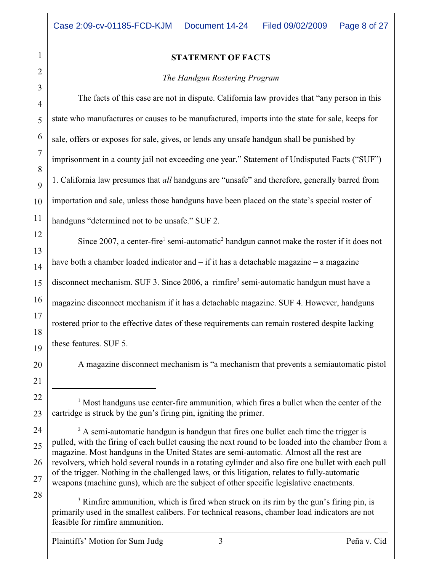#### **STATEMENT OF FACTS**

#### *The Handgun Rostering Program*

The facts of this case are not in dispute. California law provides that "any person in this state who manufactures or causes to be manufactured, imports into the state for sale, keeps for sale, offers or exposes for sale, gives, or lends any unsafe handgun shall be punished by imprisonment in a county jail not exceeding one year." Statement of Undisputed Facts ("SUF") 1. California law presumes that *all* handguns are "unsafe" and therefore, generally barred from importation and sale, unless those handguns have been placed on the state's special roster of handguns "determined not to be unsafe." SUF 2.

Since 2007, a center-fire<sup>1</sup> semi-automatic<sup>2</sup> handgun cannot make the roster if it does not have both a chamber loaded indicator and – if it has a detachable magazine – a magazine disconnect mechanism. SUF 3. Since  $2006$ , a rimfire<sup>3</sup> semi-automatic handgun must have a magazine disconnect mechanism if it has a detachable magazine. SUF 4. However, handguns rostered prior to the effective dates of these requirements can remain rostered despite lacking these features. SUF 5.

A magazine disconnect mechanism is "a mechanism that prevents a semiautomatic pistol

28

 $3$  Rimfire ammunition, which is fired when struck on its rim by the gun's firing pin, is primarily used in the smallest calibers. For technical reasons, chamber load indicators are not feasible for rimfire ammunition.

Plaintiffs' Motion for Sum Judg 3 Peña v. Cid

 $\frac{1}{1}$  Most handguns use center-fire ammunition, which fires a bullet when the center of the cartridge is struck by the gun's firing pin, igniting the primer.

 $^2$  A semi-automatic handgun is handgun that fires one bullet each time the trigger is pulled, with the firing of each bullet causing the next round to be loaded into the chamber from a magazine. Most handguns in the United States are semi-automatic. Almost all the rest are revolvers, which hold several rounds in a rotating cylinder and also fire one bullet with each pull of the trigger. Nothing in the challenged laws, or this litigation, relates to fully-automatic weapons (machine guns), which are the subject of other specific legislative enactments.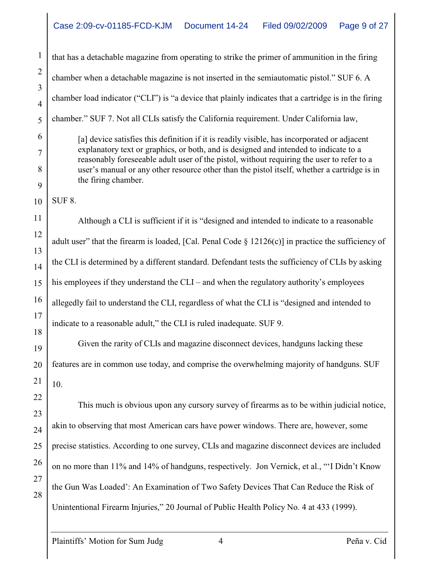that has a detachable magazine from operating to strike the primer of ammunition in the firing chamber when a detachable magazine is not inserted in the semiautomatic pistol." SUF 6. A chamber load indicator ("CLI") is "a device that plainly indicates that a cartridge is in the firing chamber." SUF 7. Not all CLIs satisfy the California requirement. Under California law,

[a] device satisfies this definition if it is readily visible, has incorporated or adjacent explanatory text or graphics, or both, and is designed and intended to indicate to a reasonably foreseeable adult user of the pistol, without requiring the user to refer to a user's manual or any other resource other than the pistol itself, whether a cartridge is in the firing chamber.

SUF 8.

Although a CLI is sufficient if it is "designed and intended to indicate to a reasonable adult user" that the firearm is loaded, [Cal. Penal Code  $\S 12126(c)$ ] in practice the sufficiency of the CLI is determined by a different standard. Defendant tests the sufficiency of CLIs by asking his employees if they understand the CLI – and when the regulatory authority's employees allegedly fail to understand the CLI, regardless of what the CLI is "designed and intended to indicate to a reasonable adult," the CLI is ruled inadequate. SUF 9.

Given the rarity of CLIs and magazine disconnect devices, handguns lacking these features are in common use today, and comprise the overwhelming majority of handguns. SUF 10.

This much is obvious upon any cursory survey of firearms as to be within judicial notice, akin to observing that most American cars have power windows. There are, however, some precise statistics. According to one survey, CLIs and magazine disconnect devices are included on no more than 11% and 14% of handguns, respectively. Jon Vernick, et al., "'I Didn't Know the Gun Was Loaded': An Examination of Two Safety Devices That Can Reduce the Risk of Unintentional Firearm Injuries," 20 Journal of Public Health Policy No. 4 at 433 (1999).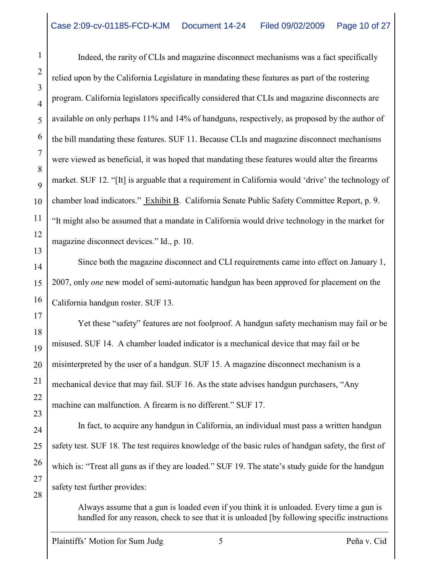Indeed, the rarity of CLIs and magazine disconnect mechanisms was a fact specifically relied upon by the California Legislature in mandating these features as part of the rostering program. California legislators specifically considered that CLIs and magazine disconnects are available on only perhaps 11% and 14% of handguns, respectively, as proposed by the author of the bill mandating these features. SUF 11. Because CLIs and magazine disconnect mechanisms were viewed as beneficial, it was hoped that mandating these features would alter the firearms market. SUF 12. "[It] is arguable that a requirement in California would 'drive' the technology of chamber load indicators." Exhibit B. California Senate Public Safety Committee Report, p. 9. "It might also be assumed that a mandate in California would drive technology in the market for magazine disconnect devices." Id., p. 10.

Since both the magazine disconnect and CLI requirements came into effect on January 1, 2007, only *one* new model of semi-automatic handgun has been approved for placement on the California handgun roster. SUF 13.

Yet these "safety" features are not foolproof. A handgun safety mechanism may fail or be misused. SUF 14. A chamber loaded indicator is a mechanical device that may fail or be misinterpreted by the user of a handgun. SUF 15. A magazine disconnect mechanism is a mechanical device that may fail. SUF 16. As the state advises handgun purchasers, "Any machine can malfunction. A firearm is no different." SUF 17.

In fact, to acquire any handgun in California, an individual must pass a written handgun safety test. SUF 18. The test requires knowledge of the basic rules of handgun safety, the first of which is: "Treat all guns as if they are loaded." SUF 19. The state's study guide for the handgun safety test further provides:

Always assume that a gun is loaded even if you think it is unloaded. Every time a gun is handled for any reason, check to see that it is unloaded [by following specific instructions

1

2

3

4

5

6

7

8

9

10

11

12

13

14

15

16

17

18

19

20

21

22

23

24

25

26

27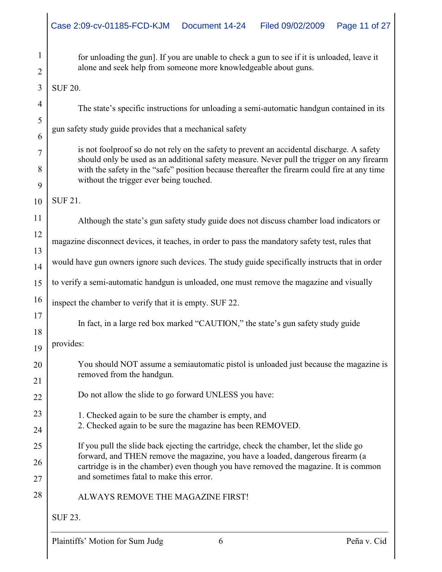1 2 3 4 5 6 7 8 9 10 11 12 13 14 15 16 17 18 19 20 21 22 23 24 25 26 27 28 for unloading the gun]. If you are unable to check a gun to see if it is unloaded, leave it alone and seek help from someone more knowledgeable about guns. SUF 20. The state's specific instructions for unloading a semi-automatic handgun contained in its gun safety study guide provides that a mechanical safety is not foolproof so do not rely on the safety to prevent an accidental discharge. A safety should only be used as an additional safety measure. Never pull the trigger on any firearm with the safety in the "safe" position because thereafter the firearm could fire at any time without the trigger ever being touched. SUF 21. Although the state's gun safety study guide does not discuss chamber load indicators or magazine disconnect devices, it teaches, in order to pass the mandatory safety test, rules that would have gun owners ignore such devices. The study guide specifically instructs that in order to verify a semi-automatic handgun is unloaded, one must remove the magazine and visually inspect the chamber to verify that it is empty. SUF 22. In fact, in a large red box marked "CAUTION," the state's gun safety study guide provides: You should NOT assume a semiautomatic pistol is unloaded just because the magazine is removed from the handgun. Do not allow the slide to go forward UNLESS you have: 1. Checked again to be sure the chamber is empty, and 2. Checked again to be sure the magazine has been REMOVED. If you pull the slide back ejecting the cartridge, check the chamber, let the slide go forward, and THEN remove the magazine, you have a loaded, dangerous firearm (a cartridge is in the chamber) even though you have removed the magazine. It is common and sometimes fatal to make this error. ALWAYS REMOVE THE MAGAZINE FIRST! SUF 23.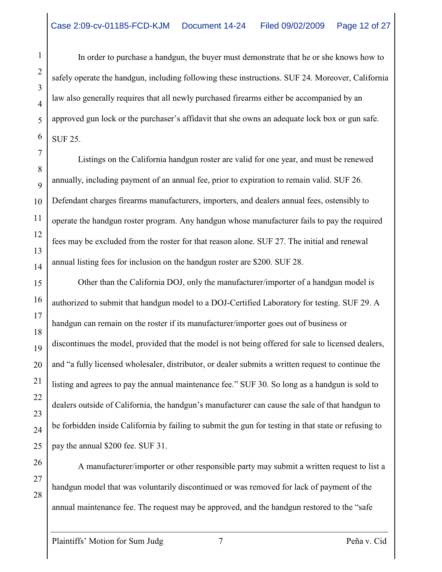In order to purchase a handgun, the buyer must demonstrate that he or she knows how to safely operate the handgun, including following these instructions. SUF 24. Moreover, California law also generally requires that all newly purchased firearms either be accompanied by an approved gun lock or the purchaser's affidavit that she owns an adequate lock box or gun safe. SUF 25.

Listings on the California handgun roster are valid for one year, and must be renewed annually, including payment of an annual fee, prior to expiration to remain valid. SUF 26. Defendant charges firearms manufacturers, importers, and dealers annual fees, ostensibly to operate the handgun roster program. Any handgun whose manufacturer fails to pay the required fees may be excluded from the roster for that reason alone. SUF 27. The initial and renewal annual listing fees for inclusion on the handgun roster are \$200. SUF 28.

Other than the California DOJ, only the manufacturer/importer of a handgun model is authorized to submit that handgun model to a DOJ-Certified Laboratory for testing. SUF 29. A handgun can remain on the roster if its manufacturer/importer goes out of business or discontinues the model, provided that the model is not being offered for sale to licensed dealers, and "a fully licensed wholesaler, distributor, or dealer submits a written request to continue the listing and agrees to pay the annual maintenance fee." SUF 30. So long as a handgun is sold to dealers outside of California, the handgun's manufacturer can cause the sale of that handgun to be forbidden inside California by failing to submit the gun for testing in that state or refusing to pay the annual \$200 fee. SUF 31.

A manufacturer/importer or other responsible party may submit a written request to list a handgun model that was voluntarily discontinued or was removed for lack of payment of the annual maintenance fee. The request may be approved, and the handgun restored to the "safe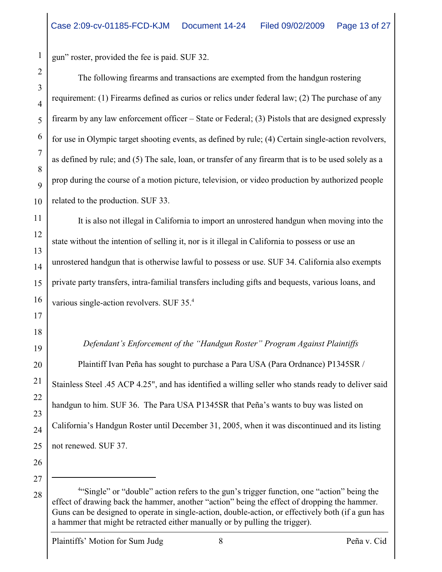gun" roster, provided the fee is paid. SUF 32.

The following firearms and transactions are exempted from the handgun rostering requirement: (1) Firearms defined as curios or relics under federal law; (2) The purchase of any firearm by any law enforcement officer – State or Federal; (3) Pistols that are designed expressly for use in Olympic target shooting events, as defined by rule; (4) Certain single-action revolvers, as defined by rule; and (5) The sale, loan, or transfer of any firearm that is to be used solely as a prop during the course of a motion picture, television, or video production by authorized people related to the production. SUF 33.

It is also not illegal in California to import an unrostered handgun when moving into the state without the intention of selling it, nor is it illegal in California to possess or use an unrostered handgun that is otherwise lawful to possess or use. SUF 34. California also exempts private party transfers, intra-familial transfers including gifts and bequests, various loans, and various single-action revolvers. SUF 35.<sup>4</sup>

*Defendant's Enforcement of the "Handgun Roster" Program Against Plaintiffs*

Plaintiff Ivan Peña has sought to purchase a Para USA (Para Ordnance) P1345SR / Stainless Steel .45 ACP 4.25", and has identified a willing seller who stands ready to deliver said handgun to him. SUF 36. The Para USA P1345SR that Peña's wants to buy was listed on California's Handgun Roster until December 31, 2005, when it was discontinued and its listing not renewed. SUF 37.

26 27

1

2

3

4

5

6

7

8

9

10

11

12

13

14

15

16

17

18

19

20

21

22

23

24

 $28$   $\parallel$  <sup>4"</sup>Single" or "double" action refers to the gun's trigger function, one "action" being the effect of drawing back the hammer, another "action" being the effect of dropping the hammer. Guns can be designed to operate in single-action, double-action, or effectively both (if a gun has a hammer that might be retracted either manually or by pulling the trigger).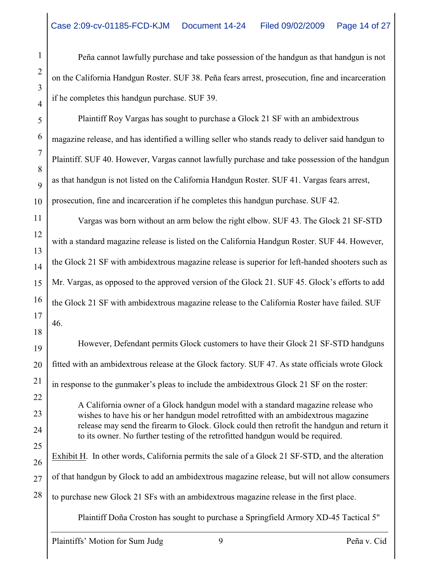Peña cannot lawfully purchase and take possession of the handgun as that handgun is not on the California Handgun Roster. SUF 38. Peña fears arrest, prosecution, fine and incarceration if he completes this handgun purchase. SUF 39.

Plaintiff Roy Vargas has sought to purchase a Glock 21 SF with an ambidextrous magazine release, and has identified a willing seller who stands ready to deliver said handgun to Plaintiff. SUF 40. However, Vargas cannot lawfully purchase and take possession of the handgun as that handgun is not listed on the California Handgun Roster. SUF 41. Vargas fears arrest, prosecution, fine and incarceration if he completes this handgun purchase. SUF 42.

Vargas was born without an arm below the right elbow. SUF 43. The Glock 21 SF-STD with a standard magazine release is listed on the California Handgun Roster. SUF 44. However, the Glock 21 SF with ambidextrous magazine release is superior for left-handed shooters such as Mr. Vargas, as opposed to the approved version of the Glock 21. SUF 45. Glock's efforts to add the Glock 21 SF with ambidextrous magazine release to the California Roster have failed. SUF 46.

However, Defendant permits Glock customers to have their Glock 21 SF-STD handguns fitted with an ambidextrous release at the Glock factory. SUF 47. As state officials wrote Glock in response to the gunmaker's pleas to include the ambidextrous Glock 21 SF on the roster: A California owner of a Glock handgun model with a standard magazine release who wishes to have his or her handgun model retrofitted with an ambidextrous magazine release may send the firearm to Glock. Glock could then retrofit the handgun and return it to its owner. No further testing of the retrofitted handgun would be required.

Exhibit H. In other words, California permits the sale of a Glock 21 SF-STD, and the alteration of that handgun by Glock to add an ambidextrous magazine release, but will not allow consumers to purchase new Glock 21 SFs with an ambidextrous magazine release in the first place.

Plaintiff Doña Croston has sought to purchase a Springfield Armory XD-45 Tactical 5"

1

2

3

4

5

6

7

8

9

10

11

12

13

14

15

16

17

18

19

20

21

22

23

24

25

26

27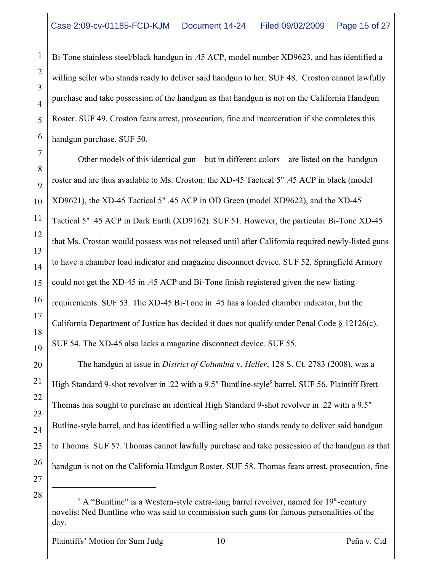Bi-Tone stainless steel/black handgun in .45 ACP, model number XD9623, and has identified a willing seller who stands ready to deliver said handgun to her. SUF 48. Croston cannot lawfully purchase and take possession of the handgun as that handgun is not on the California Handgun Roster. SUF 49. Croston fears arrest, prosecution, fine and incarceration if she completes this handgun purchase. SUF 50.

Other models of this identical gun – but in different colors – are listed on the handgun roster and are thus available to Ms. Croston: the XD-45 Tactical 5" .45 ACP in black (model XD9621), the XD-45 Tactical 5" .45 ACP in OD Green (model XD9622), and the XD-45 Tactical 5" .45 ACP in Dark Earth (XD9162). SUF 51. However, the particular Bi-Tone XD-45 that Ms. Croston would possess was not released until after California required newly-listed guns to have a chamber load indicator and magazine disconnect device. SUF 52. Springfield Armory could not get the XD-45 in .45 ACP and Bi-Tone finish registered given the new listing requirements. SUF 53. The XD-45 Bi-Tone in .45 has a loaded chamber indicator, but the California Department of Justice has decided it does not qualify under Penal Code  $\S$  12126(c). SUF 54. The XD-45 also lacks a magazine disconnect device. SUF 55.

The handgun at issue in *District of Columbia* v. *Heller*, 128 S. Ct. 2783 (2008), was a High Standard 9-shot revolver in .22 with a 9.5" Buntline-style<sup>5</sup> barrel. SUF 56. Plaintiff Brett Thomas has sought to purchase an identical High Standard 9-shot revolver in .22 with a 9.5" Butline-style barrel, and has identified a willing seller who stands ready to deliver said handgun to Thomas. SUF 57. Thomas cannot lawfully purchase and take possession of the handgun as that handgun is not on the California Handgun Roster. SUF 58. Thomas fears arrest, prosecution, fine

27 28

1

2

3

4

5

6

7

8

9

10

11

12

13

14

15

16

17

18

19

20

21

22

23

24

25

 $5$  A "Buntline" is a Western-style extra-long barrel revolver, named for  $19<sup>th</sup>$ -century novelist Ned Buntline who was said to commission such guns for famous personalities of the day.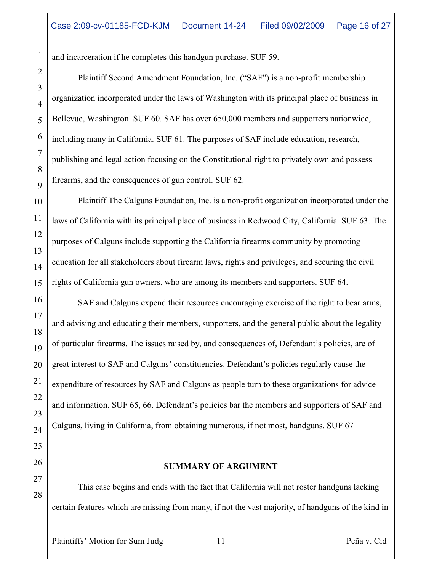and incarceration if he completes this handgun purchase. SUF 59.

Plaintiff Second Amendment Foundation, Inc. ("SAF") is a non-profit membership organization incorporated under the laws of Washington with its principal place of business in Bellevue, Washington. SUF 60. SAF has over 650,000 members and supporters nationwide, including many in California. SUF 61. The purposes of SAF include education, research, publishing and legal action focusing on the Constitutional right to privately own and possess firearms, and the consequences of gun control. SUF 62.

Plaintiff The Calguns Foundation, Inc. is a non-profit organization incorporated under the laws of California with its principal place of business in Redwood City, California. SUF 63. The purposes of Calguns include supporting the California firearms community by promoting education for all stakeholders about firearm laws, rights and privileges, and securing the civil rights of California gun owners, who are among its members and supporters. SUF 64.

SAF and Calguns expend their resources encouraging exercise of the right to bear arms, and advising and educating their members, supporters, and the general public about the legality of particular firearms. The issues raised by, and consequences of, Defendant's policies, are of great interest to SAF and Calguns' constituencies. Defendant's policies regularly cause the expenditure of resources by SAF and Calguns as people turn to these organizations for advice and information. SUF 65, 66. Defendant's policies bar the members and supporters of SAF and Calguns, living in California, from obtaining numerous, if not most, handguns. SUF 67

26

27

28

1

2

3

4

5

6

7

8

9

10

11

12

13

14

15

16

17

18

19

20

21

22

23

24

25

#### **SUMMARY OF ARGUMENT**

This case begins and ends with the fact that California will not roster handguns lacking certain features which are missing from many, if not the vast majority, of handguns of the kind in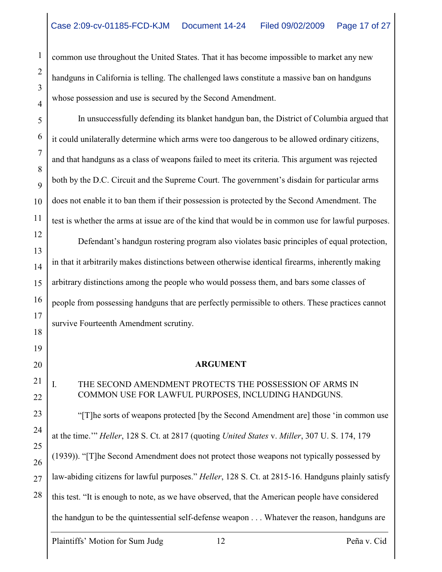common use throughout the United States. That it has become impossible to market any new handguns in California is telling. The challenged laws constitute a massive ban on handguns whose possession and use is secured by the Second Amendment.

In unsuccessfully defending its blanket handgun ban, the District of Columbia argued that it could unilaterally determine which arms were too dangerous to be allowed ordinary citizens, and that handguns as a class of weapons failed to meet its criteria. This argument was rejected both by the D.C. Circuit and the Supreme Court. The government's disdain for particular arms does not enable it to ban them if their possession is protected by the Second Amendment. The test is whether the arms at issue are of the kind that would be in common use for lawful purposes.

Defendant's handgun rostering program also violates basic principles of equal protection, in that it arbitrarily makes distinctions between otherwise identical firearms, inherently making arbitrary distinctions among the people who would possess them, and bars some classes of people from possessing handguns that are perfectly permissible to others. These practices cannot survive Fourteenth Amendment scrutiny.

#### **ARGUMENT**

# I. THE SECOND AMENDMENT PROTECTS THE POSSESSION OF ARMS IN COMMON USE FOR LAWFUL PURPOSES, INCLUDING HANDGUNS.

"[T]he sorts of weapons protected [by the Second Amendment are] those 'in common use at the time.'" *Heller*, 128 S. Ct. at 2817 (quoting *United States* v. *Miller*, 307 U. S. 174, 179 (1939)). "[T]he Second Amendment does not protect those weapons not typically possessed by law-abiding citizens for lawful purposes." *Heller*, 128 S. Ct. at 2815-16. Handguns plainly satisfy this test. "It is enough to note, as we have observed, that the American people have considered the handgun to be the quintessential self-defense weapon . . . Whatever the reason, handguns are

Plaintiffs' Motion for Sum Judg 12 Peña v. Cid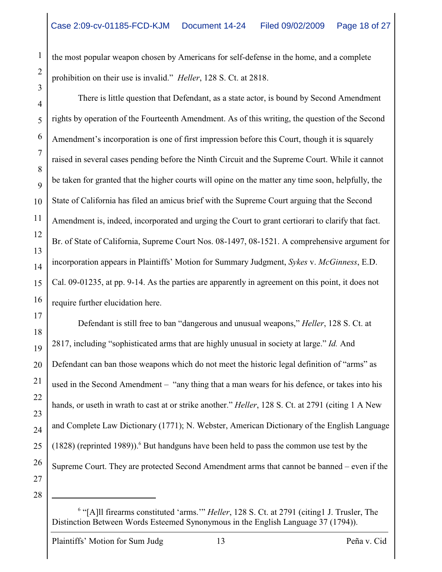the most popular weapon chosen by Americans for self-defense in the home, and a complete prohibition on their use is invalid." *Heller*, 128 S. Ct. at 2818.

There is little question that Defendant, as a state actor, is bound by Second Amendment rights by operation of the Fourteenth Amendment. As of this writing, the question of the Second Amendment's incorporation is one of first impression before this Court, though it is squarely raised in several cases pending before the Ninth Circuit and the Supreme Court. While it cannot be taken for granted that the higher courts will opine on the matter any time soon, helpfully, the State of California has filed an amicus brief with the Supreme Court arguing that the Second Amendment is, indeed, incorporated and urging the Court to grant certiorari to clarify that fact. Br. of State of California, Supreme Court Nos. 08-1497, 08-1521. A comprehensive argument for incorporation appears in Plaintiffs' Motion for Summary Judgment, *Sykes* v. *McGinness*, E.D. Cal. 09-01235, at pp. 9-14. As the parties are apparently in agreement on this point, it does not require further elucidation here.

Defendant is still free to ban "dangerous and unusual weapons," *Heller*, 128 S. Ct. at 2817, including "sophisticated arms that are highly unusual in society at large." *Id.* And Defendant can ban those weapons which do not meet the historic legal definition of "arms" as used in the Second Amendment – "any thing that a man wears for his defence, or takes into his hands, or useth in wrath to cast at or strike another." *Heller*, 128 S. Ct. at 2791 (citing 1 A New and Complete Law Dictionary (1771); N. Webster, American Dictionary of the English Language (1828) (reprinted 1989)). $<sup>6</sup>$  But handguns have been held to pass the common use test by the</sup> Supreme Court. They are protected Second Amendment arms that cannot be banned – even if the

1

2

3

4

5

6

7

8

9

10

11

12

13

14

15

16

17

18

19

20

21

22

23

24

25

26

<sup>28</sup>

<sup>&</sup>lt;sup>6</sup> "[A]ll firearms constituted 'arms.'" *Heller*, 128 S. Ct. at 2791 (citing1 J. Trusler, The Distinction Between Words Esteemed Synonymous in the English Language 37 (1794)).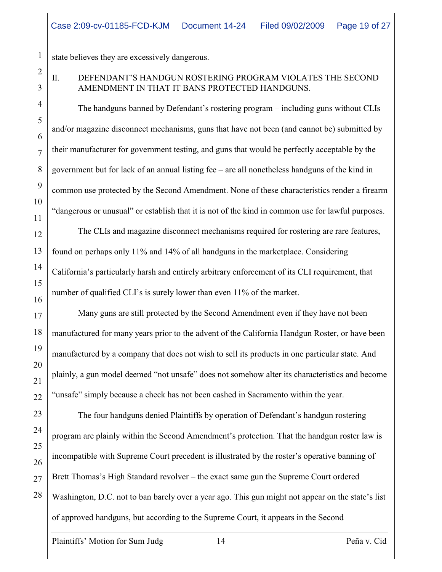state believes they are excessively dangerous.

# II. DEFENDANT'S HANDGUN ROSTERING PROGRAM VIOLATES THE SECOND AMENDMENT IN THAT IT BANS PROTECTED HANDGUNS.

The handguns banned by Defendant's rostering program – including guns without CLIs and/or magazine disconnect mechanisms, guns that have not been (and cannot be) submitted by their manufacturer for government testing, and guns that would be perfectly acceptable by the government but for lack of an annual listing fee – are all nonetheless handguns of the kind in common use protected by the Second Amendment. None of these characteristics render a firearm "dangerous or unusual" or establish that it is not of the kind in common use for lawful purposes.

The CLIs and magazine disconnect mechanisms required for rostering are rare features, found on perhaps only 11% and 14% of all handguns in the marketplace. Considering California's particularly harsh and entirely arbitrary enforcement of its CLI requirement, that number of qualified CLI's is surely lower than even 11% of the market.

Many guns are still protected by the Second Amendment even if they have not been manufactured for many years prior to the advent of the California Handgun Roster, or have been manufactured by a company that does not wish to sell its products in one particular state. And plainly, a gun model deemed "not unsafe" does not somehow alter its characteristics and become "unsafe" simply because a check has not been cashed in Sacramento within the year.

The four handguns denied Plaintiffs by operation of Defendant's handgun rostering program are plainly within the Second Amendment's protection. That the handgun roster law is incompatible with Supreme Court precedent is illustrated by the roster's operative banning of Brett Thomas's High Standard revolver – the exact same gun the Supreme Court ordered Washington, D.C. not to ban barely over a year ago. This gun might not appear on the state's list of approved handguns, but according to the Supreme Court, it appears in the Second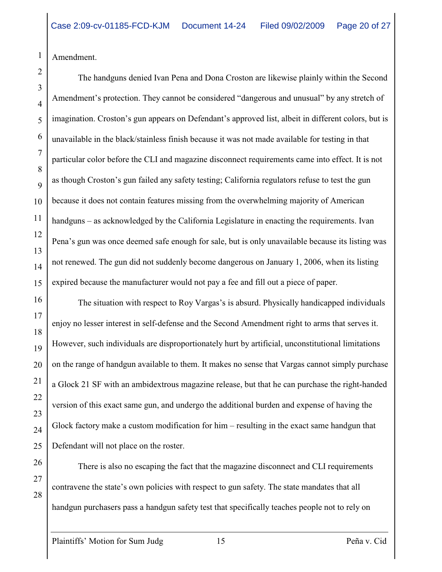Amendment.

1

2

3

4

5

6

7

8

9

10

11

12

13

14

15

16

17

18

19

20

21

22

23

24

25

26

27

28

The handguns denied Ivan Pena and Dona Croston are likewise plainly within the Second Amendment's protection. They cannot be considered "dangerous and unusual" by any stretch of imagination. Croston's gun appears on Defendant's approved list, albeit in different colors, but is unavailable in the black/stainless finish because it was not made available for testing in that particular color before the CLI and magazine disconnect requirements came into effect. It is not as though Croston's gun failed any safety testing; California regulators refuse to test the gun because it does not contain features missing from the overwhelming majority of American handguns – as acknowledged by the California Legislature in enacting the requirements. Ivan Pena's gun was once deemed safe enough for sale, but is only unavailable because its listing was not renewed. The gun did not suddenly become dangerous on January 1, 2006, when its listing expired because the manufacturer would not pay a fee and fill out a piece of paper.

The situation with respect to Roy Vargas's is absurd. Physically handicapped individuals enjoy no lesser interest in self-defense and the Second Amendment right to arms that serves it. However, such individuals are disproportionately hurt by artificial, unconstitutional limitations on the range of handgun available to them. It makes no sense that Vargas cannot simply purchase a Glock 21 SF with an ambidextrous magazine release, but that he can purchase the right-handed version of this exact same gun, and undergo the additional burden and expense of having the Glock factory make a custom modification for him – resulting in the exact same handgun that Defendant will not place on the roster.

There is also no escaping the fact that the magazine disconnect and CLI requirements contravene the state's own policies with respect to gun safety. The state mandates that all handgun purchasers pass a handgun safety test that specifically teaches people not to rely on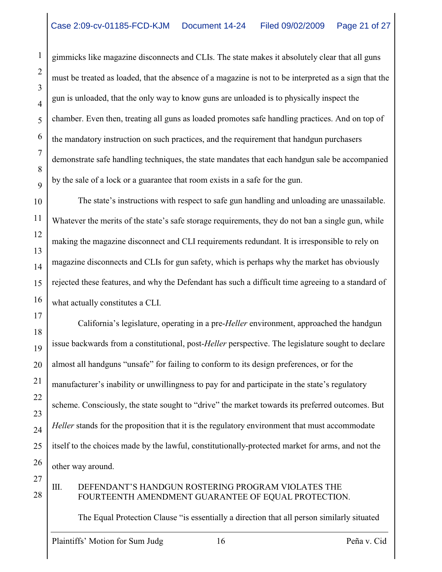gimmicks like magazine disconnects and CLIs. The state makes it absolutely clear that all guns must be treated as loaded, that the absence of a magazine is not to be interpreted as a sign that the gun is unloaded, that the only way to know guns are unloaded is to physically inspect the chamber. Even then, treating all guns as loaded promotes safe handling practices. And on top of the mandatory instruction on such practices, and the requirement that handgun purchasers demonstrate safe handling techniques, the state mandates that each handgun sale be accompanied by the sale of a lock or a guarantee that room exists in a safe for the gun.

The state's instructions with respect to safe gun handling and unloading are unassailable. Whatever the merits of the state's safe storage requirements, they do not ban a single gun, while making the magazine disconnect and CLI requirements redundant. It is irresponsible to rely on magazine disconnects and CLIs for gun safety, which is perhaps why the market has obviously rejected these features, and why the Defendant has such a difficult time agreeing to a standard of what actually constitutes a CLI.

California's legislature, operating in a pre-*Heller* environment, approached the handgun issue backwards from a constitutional, post-*Heller* perspective. The legislature sought to declare almost all handguns "unsafe" for failing to conform to its design preferences, or for the manufacturer's inability or unwillingness to pay for and participate in the state's regulatory scheme. Consciously, the state sought to "drive" the market towards its preferred outcomes. But *Heller* stands for the proposition that it is the regulatory environment that must accommodate itself to the choices made by the lawful, constitutionally-protected market for arms, and not the other way around.

III. DEFENDANT'S HANDGUN ROSTERING PROGRAM VIOLATES THE FOURTEENTH AMENDMENT GUARANTEE OF EQUAL PROTECTION.

The Equal Protection Clause "is essentially a direction that all person similarly situated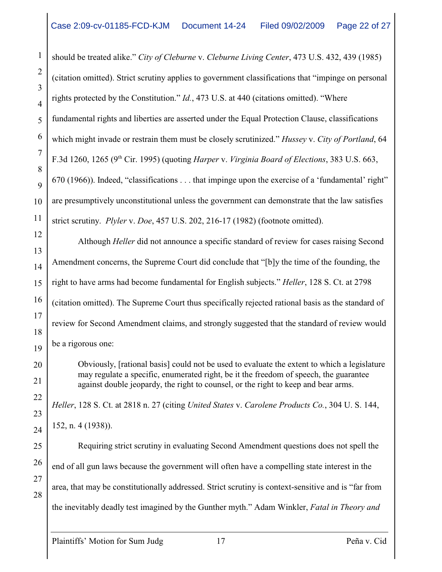should be treated alike." *City of Cleburne* v. *Cleburne Living Center*, 473 U.S. 432, 439 (1985) (citation omitted). Strict scrutiny applies to government classifications that "impinge on personal rights protected by the Constitution." *Id.*, 473 U.S. at 440 (citations omitted). "Where fundamental rights and liberties are asserted under the Equal Protection Clause, classifications which might invade or restrain them must be closely scrutinized." *Hussey* v. *City of Portland*, 64 F.3d 1260, 1265 (9<sup>th</sup> Cir. 1995) (quoting *Harper* v. *Virginia Board of Elections*, 383 U.S. 663, 670 (1966)). Indeed, "classifications . . . that impinge upon the exercise of a 'fundamental' right" are presumptively unconstitutional unless the government can demonstrate that the law satisfies strict scrutiny. *Plyler* v. *Doe*, 457 U.S. 202, 216-17 (1982) (footnote omitted).

Although *Heller* did not announce a specific standard of review for cases raising Second Amendment concerns, the Supreme Court did conclude that "[b]y the time of the founding, the right to have arms had become fundamental for English subjects." *Heller*, 128 S. Ct. at 2798 (citation omitted). The Supreme Court thus specifically rejected rational basis as the standard of review for Second Amendment claims, and strongly suggested that the standard of review would be a rigorous one:

Obviously, [rational basis] could not be used to evaluate the extent to which a legislature may regulate a specific, enumerated right, be it the freedom of speech, the guarantee against double jeopardy, the right to counsel, or the right to keep and bear arms.

*Heller*, 128 S. Ct. at 2818 n. 27 (citing *United States* v. *Carolene Products Co.*, 304 U. S. 144, 152, n. 4 (1938)).

Requiring strict scrutiny in evaluating Second Amendment questions does not spell the end of all gun laws because the government will often have a compelling state interest in the area, that may be constitutionally addressed. Strict scrutiny is context-sensitive and is "far from the inevitably deadly test imagined by the Gunther myth." Adam Winkler, *Fatal in Theory and*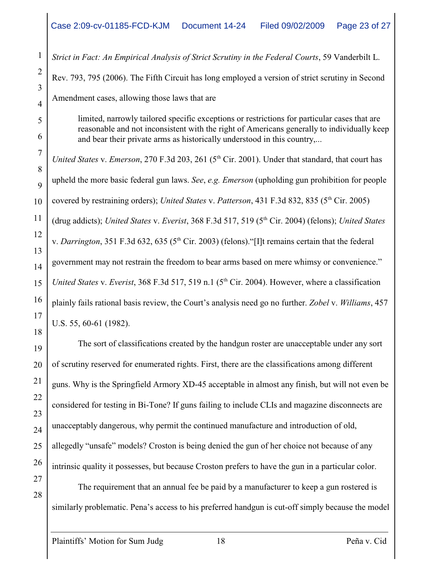*Strict in Fact: An Empirical Analysis of Strict Scrutiny in the Federal Courts*, 59 Vanderbilt L. Rev. 793, 795 (2006). The Fifth Circuit has long employed a version of strict scrutiny in Second Amendment cases, allowing those laws that are

limited, narrowly tailored specific exceptions or restrictions for particular cases that are reasonable and not inconsistent with the right of Americans generally to individually keep and bear their private arms as historically understood in this country,...

*United States v. Emerson, 270 F.3d 203, 261 (5<sup>th</sup> Cir. 2001). Under that standard, that court has* upheld the more basic federal gun laws. *See*, *e.g. Emerson* (upholding gun prohibition for people covered by restraining orders); *United States* v. *Patterson*, 431 F.3d 832, 835 (5<sup>th</sup> Cir. 2005) (drug addicts); *United States v. Everist*, 368 F.3d 517, 519 (5<sup>th</sup> Cir. 2004) (felons); *United States* v. *Darrington*, 351 F.3d 632, 635 ( $5<sup>th</sup> Cir. 2003$ ) (felons). "[I]t remains certain that the federal government may not restrain the freedom to bear arms based on mere whimsy or convenience." *United States v. Everist*, 368 F.3d 517, 519 n.1 (5<sup>th</sup> Cir. 2004). However, where a classification plainly fails rational basis review, the Court's analysis need go no further. *Zobel* v. *Williams*, 457 U.S. 55, 60-61 (1982).

The sort of classifications created by the handgun roster are unacceptable under any sort of scrutiny reserved for enumerated rights. First, there are the classifications among different guns. Why is the Springfield Armory XD-45 acceptable in almost any finish, but will not even be considered for testing in Bi-Tone? If guns failing to include CLIs and magazine disconnects are unacceptably dangerous, why permit the continued manufacture and introduction of old, allegedly "unsafe" models? Croston is being denied the gun of her choice not because of any intrinsic quality it possesses, but because Croston prefers to have the gun in a particular color.

The requirement that an annual fee be paid by a manufacturer to keep a gun rostered is similarly problematic. Pena's access to his preferred handgun is cut-off simply because the model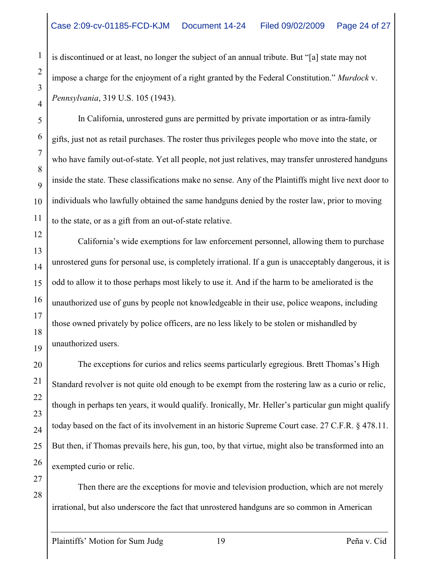is discontinued or at least, no longer the subject of an annual tribute. But "[a] state may not impose a charge for the enjoyment of a right granted by the Federal Constitution." *Murdock* v. *Pennsylvania*, 319 U.S. 105 (1943).

In California, unrostered guns are permitted by private importation or as intra-family gifts, just not as retail purchases. The roster thus privileges people who move into the state, or who have family out-of-state. Yet all people, not just relatives, may transfer unrostered handguns inside the state. These classifications make no sense. Any of the Plaintiffs might live next door to individuals who lawfully obtained the same handguns denied by the roster law, prior to moving to the state, or as a gift from an out-of-state relative.

California's wide exemptions for law enforcement personnel, allowing them to purchase unrostered guns for personal use, is completely irrational. If a gun is unacceptably dangerous, it is odd to allow it to those perhaps most likely to use it. And if the harm to be ameliorated is the unauthorized use of guns by people not knowledgeable in their use, police weapons, including those owned privately by police officers, are no less likely to be stolen or mishandled by unauthorized users.

The exceptions for curios and relics seems particularly egregious. Brett Thomas's High Standard revolver is not quite old enough to be exempt from the rostering law as a curio or relic, though in perhaps ten years, it would qualify. Ironically, Mr. Heller's particular gun might qualify today based on the fact of its involvement in an historic Supreme Court case. 27 C.F.R. § 478.11. But then, if Thomas prevails here, his gun, too, by that virtue, might also be transformed into an exempted curio or relic.

Then there are the exceptions for movie and television production, which are not merely irrational, but also underscore the fact that unrostered handguns are so common in American

1

2

3

4

5

6

7

8

9

10

11

12

13

14

15

16

17

18

19

20

21

22

23

24

25

26

27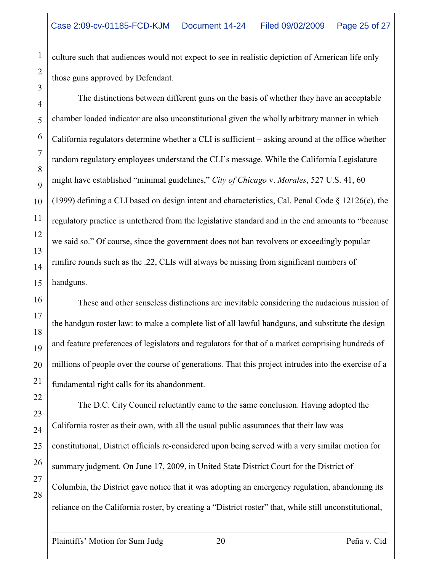culture such that audiences would not expect to see in realistic depiction of American life only those guns approved by Defendant.

The distinctions between different guns on the basis of whether they have an acceptable chamber loaded indicator are also unconstitutional given the wholly arbitrary manner in which California regulators determine whether a CLI is sufficient – asking around at the office whether random regulatory employees understand the CLI's message. While the California Legislature might have established "minimal guidelines," *City of Chicago* v. *Morales*, 527 U.S. 41, 60 (1999) defining a CLI based on design intent and characteristics, Cal. Penal Code § 12126(c), the regulatory practice is untethered from the legislative standard and in the end amounts to "because we said so." Of course, since the government does not ban revolvers or exceedingly popular rimfire rounds such as the .22, CLIs will always be missing from significant numbers of handguns.

These and other senseless distinctions are inevitable considering the audacious mission of the handgun roster law: to make a complete list of all lawful handguns, and substitute the design and feature preferences of legislators and regulators for that of a market comprising hundreds of millions of people over the course of generations. That this project intrudes into the exercise of a fundamental right calls for its abandonment.

The D.C. City Council reluctantly came to the same conclusion. Having adopted the California roster as their own, with all the usual public assurances that their law was constitutional, District officials re-considered upon being served with a very similar motion for summary judgment. On June 17, 2009, in United State District Court for the District of Columbia, the District gave notice that it was adopting an emergency regulation, abandoning its reliance on the California roster, by creating a "District roster" that, while still unconstitutional,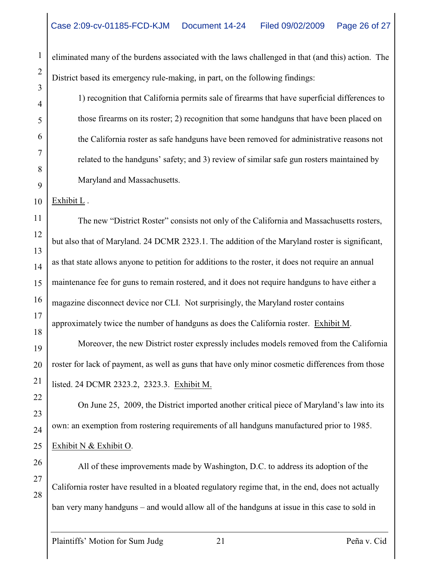eliminated many of the burdens associated with the laws challenged in that (and this) action. The District based its emergency rule-making, in part, on the following findings:

1) recognition that California permits sale of firearms that have superficial differences to those firearms on its roster; 2) recognition that some handguns that have been placed on the California roster as safe handguns have been removed for administrative reasons not related to the handguns' safety; and 3) review of similar safe gun rosters maintained by Maryland and Massachusetts.

Exhibit L .

The new "District Roster" consists not only of the California and Massachusetts rosters, but also that of Maryland. 24 DCMR 2323.1. The addition of the Maryland roster is significant, as that state allows anyone to petition for additions to the roster, it does not require an annual maintenance fee for guns to remain rostered, and it does not require handguns to have either a magazine disconnect device nor CLI. Not surprisingly, the Maryland roster contains approximately twice the number of handguns as does the California roster. Exhibit M.

Moreover, the new District roster expressly includes models removed from the California roster for lack of payment, as well as guns that have only minor cosmetic differences from those listed. 24 DCMR 2323.2, 2323.3. Exhibit M.

On June 25, 2009, the District imported another critical piece of Maryland's law into its own: an exemption from rostering requirements of all handguns manufactured prior to 1985. Exhibit N & Exhibit O.

All of these improvements made by Washington, D.C. to address its adoption of the California roster have resulted in a bloated regulatory regime that, in the end, does not actually ban very many handguns – and would allow all of the handguns at issue in this case to sold in